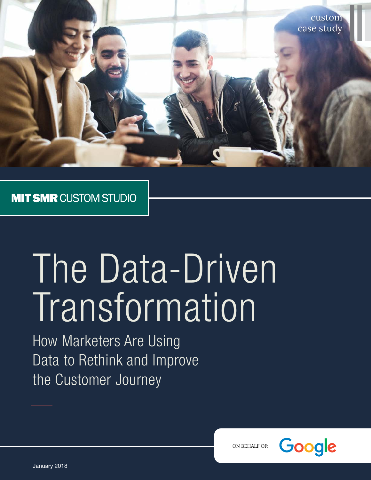

### **MIT SMR CUSTOM STUDIO**

# The Data-Driven Transformation

How Marketers Are Using Data to Rethink and Improve the Customer Journey



ON BEHALF OF: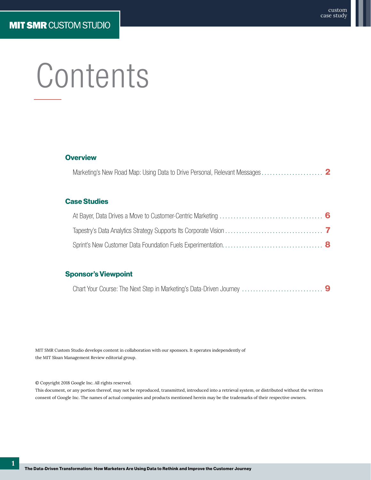## **Contents**

#### **Overview**

|--|

#### Case Studies

#### Sponsor's Viewpoint

[Chart Your Course: The Next Step in Marketing's Data-Driven Journey](#page-9-0) ............................. 9

MIT SMR Custom Studio develops content in collaboration with our sponsors. It operates independently of the MIT Sloan Management Review editorial group.

© Copyright 2018 Google Inc. All rights reserved.

This document, or any portion thereof, may not be reproduced, transmitted, introduced into a retrieval system, or distributed without the written consent of Google Inc. The names of actual companies and products mentioned herein may be the trademarks of their respective owners.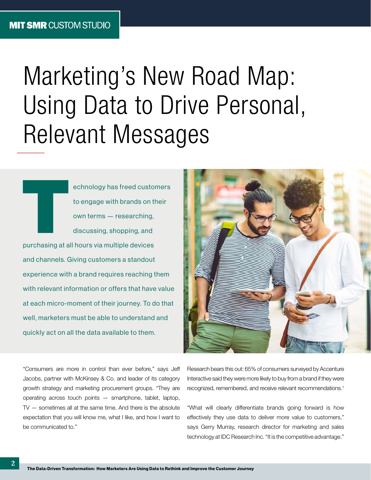## <span id="page-2-0"></span>Marketing's New Road Map: Using Data to Drive Personal, Relevant Messages

echnology has freed customers<br>to engage with brands on their<br>own terms — researching,<br>discussing, shopping, and<br>purchasing at all hours via multiple devices to engage with brands on their own terms — researching, discussing, shopping, and purchasing at all hours via multiple devices and channels. Giving customers a standout experience with a brand requires reaching them with relevant information or offers that have value at each micro-moment of their journey. To do that well, marketers must be able to understand and quickly act on all the data available to them.



"Consumers are more in control than ever before," says Jeff Jacobs, partner with McKinsey & Co. and leader of its category growth strategy and marketing procurement groups. "They are operating across touch points — smartphone, tablet, laptop, TV — sometimes all at the same time. And there is the absolute expectation that you will know me, what I like, and how I want to be communicated to."

Research bears this out: 65% of consumers surveyed by Accenture Interactive said they were more likely to buy from a brand if they were recognized, remembered, and receive relevant recommendations.1

"What will clearly differentiate brands going forward is how effectively they use data to deliver more value to customers," says Gerry Murray, research director for marketing and sales technology at IDC Research Inc. "It is the competitive advantage."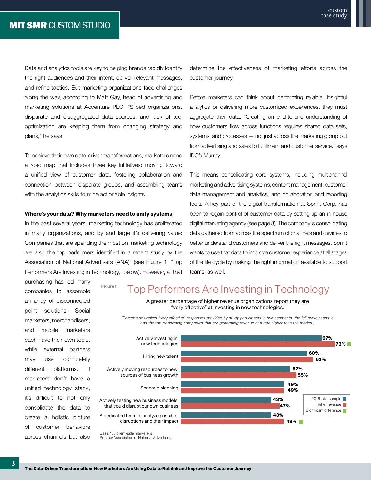Data and analytics tools are key to helping brands rapidly identify the right audiences and their intent, deliver relevant messages, and refine tactics. But marketing organizations face challenges along the way, according to Matt Gay, head of advertising and marketing solutions at Accenture PLC. "Siloed organizations, disparate and disaggregated data sources, and lack of tool optimization are keeping them from changing strategy and plans," he says.

To achieve their own data-driven transformations, marketers need a road map that includes three key initiatives: moving toward a unified view of customer data, fostering collaboration and connection between disparate groups, and assembling teams with the analytics skills to mine actionable insights.

#### Where's your data? Why marketers need to unify systems

In the past several years, marketing technology has proliferated in many organizations, and by and large it's delivering value: Companies that are spending the most on marketing technology are also the top performers identified in a recent study by the Association of National Advertisers (ANA)<sup>2</sup> (see Figure 1, "Top Performers Are Investing in Technology," below). However, all that

Figure 1

purchasing has led many companies to assemble an array of disconnected point solutions. Social marketers, merchandisers, and mobile marketers each have their own tools, while external partners may use completely different platforms. If marketers don't have a unified technology stack, it's difficult to not only consolidate the data to create a holistic picture of customer behaviors across channels but also determine the effectiveness of marketing efforts across the customer journey.

Before marketers can think about performing reliable, insightful analytics or delivering more customized experiences, they must aggregate their data. "Creating an end-to-end understanding of how customers flow across functions requires shared data sets, systems, and processes — not just across the marketing group but from advertising and sales to fulfillment and customer service," says IDC's Murray.

This means consolidating core systems, including multichannel marketing and advertising systems, content management, customer data management and analytics, and collaboration and reporting tools. A key part of the digital transformation at Sprint Corp. has been to regain control of customer data by setting up an in-house digital marketing agency (see page 8). The company is consolidating data gathered from across the spectrum of channels and devices to better understand customers and deliver the right messages. Sprint wants to use that data to improve customer experience at all stages of the life cycle by making the right information available to support teams, as well.

#### Top Performers Are Investing in Technology

A greater percentage of higher revenue organizations report they are "very effective" at investing in new technologies.

*(Percentages reflect "very effective" responses provided by study participants in two segments: the full survey sample and the top-performing companies that are generating revenue at a rate higher than the market.)* 



Source: Association of National Advertisers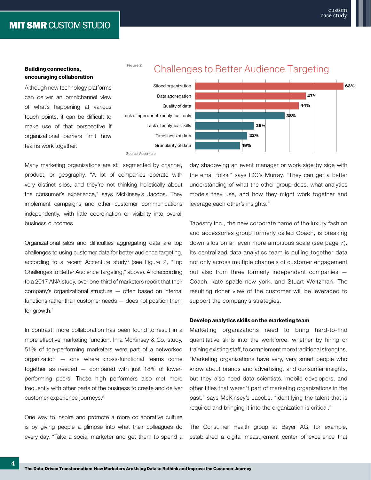**MIT SMR CUSTOM STUDIO** 

44%

47%

38%

63%

#### Building connections, encouraging collaboration

Although new technology platforms can deliver an omnichannel view of what's happening at various touch points, it can be difficult to make use of that perspective if organizational barriers limit how teams work together.



Figure 2



Many marketing organizations are still segmented by channel, product, or geography. "A lot of companies operate with very distinct silos, and they're not thinking holistically about the consumer's experience," says McKinsey's Jacobs. They implement campaigns and other customer communications independently, with little coordination or visibility into overall business outcomes.

Organizational silos and difficulties aggregating data are top challenges to using customer data for better audience targeting, according to a recent Accenture study<sup>3</sup> (see Figure 2, "Top Challenges to Better Audience Targeting," above). And according to a 2017 ANA study, over one-third of marketers report that their company's organizational structure — often based on internal functions rather than customer needs — does not position them for growth.4

In contrast, more collaboration has been found to result in a more effective marketing function. In a McKinsey & Co. study, 51% of top-performing marketers were part of a networked organization — one where cross-functional teams come together as needed — compared with just 18% of lowerperforming peers. These high performers also met more frequently with other parts of the business to create and deliver customer experience journeys.<sup>5</sup>

One way to inspire and promote a more collaborative culture is by giving people a glimpse into what their colleagues do every day. "Take a social marketer and get them to spend a



25% 22%

19%

Tapestry Inc., the new corporate name of the luxury fashion and accessories group formerly called Coach, is breaking down silos on an even more ambitious scale (see page 7). Its centralized data analytics team is pulling together data not only across multiple channels of customer engagement but also from three formerly independent companies — Coach, kate spade new york, and Stuart Weitzman. The resulting richer view of the customer will be leveraged to support the company's strategies.

#### Develop analytics skills on the marketing team

Marketing organizations need to bring hard-to-find quantitative skills into the workforce, whether by hiring or training existing staff, to complement more traditional strengths. "Marketing organizations have very, very smart people who know about brands and advertising, and consumer insights, but they also need data scientists, mobile developers, and other titles that weren't part of marketing organizations in the past," says McKinsey's Jacobs. "Identifying the talent that is required and bringing it into the organization is critical."

The Consumer Health group at Bayer AG, for example, established a digital measurement center of excellence that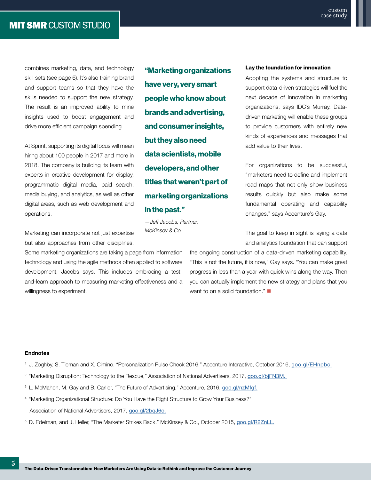combines marketing, data, and technology skill sets (see page 6). It's also training brand and support teams so that they have the skills needed to support the new strategy. The result is an improved ability to mine insights used to boost engagement and drive more efficient campaign spending.

At Sprint, supporting its digital focus will mean hiring about 100 people in 2017 and more in 2018. The company is building its team with experts in creative development for display, programmatic digital media, paid search, media buying, and analytics, as well as other digital areas, such as web development and operations.

Marketing can incorporate not just expertise but also approaches from other disciplines.

Some marketing organizations are taking a page from information technology and using the agile methods often applied to software development, Jacobs says. This includes embracing a testand-learn approach to measuring marketing effectiveness and a willingness to experiment.

"Marketing organizations have very, very smart people who know about brands and advertising, and consumer insights, but they also need data scientists, mobile developers, and other titles that weren't part of marketing organizations in the past."

*—Jeff Jacobs, Partner, McKinsey & Co.* 

#### Lay the foundation for innovation

Adopting the systems and structure to support data-driven strategies will fuel the next decade of innovation in marketing organizations, says IDC's Murray. Datadriven marketing will enable these groups to provide customers with entirely new kinds of experiences and messages that add value to their lives.

For organizations to be successful, "marketers need to define and implement road maps that not only show business results quickly but also make some fundamental operating and capability changes," says Accenture's Gay.

The goal to keep in sight is laying a data and analytics foundation that can support

the ongoing construction of a data-driven marketing capability. "This is not the future, it is now," Gay says. "You can make great progress in less than a year with quick wins along the way. Then you can actually implement the new strategy and plans that you want to on a solid foundation."  $\blacksquare$ 

#### **Endnotes**

- 1. J. Zoghby, S. Tieman and X. Cimino, "Personalization Pulse Check 2016," Accenture Interactive, October 2016, [goo.gl/EHnpbc](http://goo.gl/EHnpbc).
- <sup>2.</sup> "Marketing Disruption: Technology to the Rescue," Association of National Advertisers, 2017, [goo.gl/bjFN3M.](http://goo.gl/bjFN3M)
- 3. L. McMahon, M. Gay and B. Carlier, "The Future of Advertising," Accenture, 2016, [goo.gl/nzMfgf.](http://goo.gl/nzMfgf)
- 4. "Marketing Organizational Structure: Do You Have the Right Structure to Grow Your Business?" Association of National Advertisers, 2017, [goo.gl/2bqJ6o](http://goo.gl/2bqJ6o).
- 5. D. Edelman, and J. Heller, "The Marketer Strikes Back." McKinsey & Co., October 2015, [goo.gl/R2ZnLL.](http://goo.gl/R2ZnLL)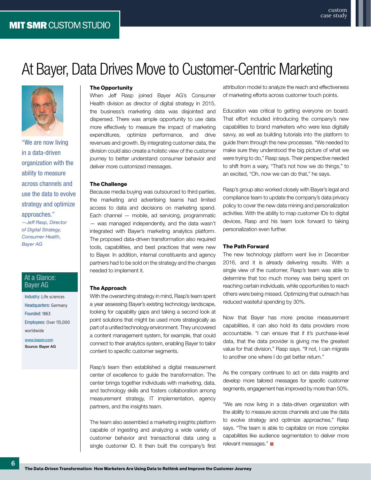## <span id="page-6-0"></span>At Bayer, Data Drives Move to Customer-Centric Marketing



"We are now living in a data-driven organization with the ability to measure across channels and use the data to evolve strategy and optimize approaches." *—Jeff Rasp, Director* 

*of Digital Strategy, Consumer Health, Bayer AG*

#### At a Glance: Bayer AG

Industry: Life sciences Headquarters: Germany Founded: 1863 Employees: Over 115,000 worldwide

[www.bayer.com](https://www.bayer.us) Source: Bayer AG

#### The Opportunity

When Jeff Rasp joined Bayer AG's Consumer Health division as director of digital strategy in 2015, the business's marketing data was disjointed and dispersed. There was ample opportunity to use data more effectively to measure the impact of marketing expenditures, optimize performance, and drive revenues and growth. By integrating customer data, the division could also create a holistic view of the customer journey to better understand consumer behavior and deliver more customized messages.

#### The Challenge

Because media buying was outsourced to third parties, the marketing and advertising teams had limited access to data and decisions on marketing spend. Each channel — mobile, ad servicing, programmatic — was managed independently, and the data wasn't integrated with Bayer's marketing analytics platform. The proposed data-driven transformation also required tools, capabilities, and best practices that were new to Bayer. In addition, internal constituents and agency partners had to be sold on the strategy and the changes needed to implement it.

#### The Approach

With the overarching strategy in mind, Rasp's team spent a year assessing Bayer's existing technology landscape, looking for capability gaps and taking a second look at point solutions that might be used more strategically as part of a unified technology environment. They uncovered a content management system, for example, that could connect to their analytics system, enabling Bayer to tailor content to specific customer segments.

Rasp's team then established a digital measurement center of excellence to guide the transformation. The center brings together individuals with marketing, data, and technology skills and fosters collaboration among measurement strategy, IT implementation, agency partners, and the insights team.

The team also assembled a marketing insights platform capable of ingesting and analyzing a wide variety of customer behavior and transactional data using a single customer ID. It then built the company's first attribution model to analyze the reach and effectiveness of marketing efforts across customer touch points.

Education was critical to getting everyone on board. That effort included introducing the company's new capabilities to brand marketers who were less digitally savvy, as well as building tutorials into the platform to guide them through the new processes. "We needed to make sure they understood the big picture of what we were trying to do," Rasp says. Their perspective needed to shift from a wary, "That's not how we do things," to an excited, "Oh, now we can do that," he says.

Rasp's group also worked closely with Bayer's legal and compliance team to update the company's data privacy policy to cover the new data mining and personalization activities. With the ability to map customer IDs to digital devices, Rasp and his team look forward to taking personalization even further.

#### The Path Forward

The new technology platform went live in December 2016, and it is already delivering results. With a single view of the customer, Rasp's team was able to determine that too much money was being spent on reaching certain individuals, while opportunities to reach others were being missed. Optimizing that outreach has reduced wasteful spending by 30%.

Now that Bayer has more precise measurement capabilities, it can also hold its data providers more accountable. "I can ensure that if it's purchase-level data, that the data provider is giving me the greatest value for that division," Rasp says. "If not, I can migrate to another one where I do get better return."

As the company continues to act on data insights and develop more tailored messages for specific customer segments, engagement has improved by more than 50%.

"We are now living in a data-driven organization with the ability to measure across channels and use the data to evolve strategy and optimize approaches," Rasp says. "The team is able to capitalize on more complex capabilities like audience segmentation to deliver more relevant messages." **n**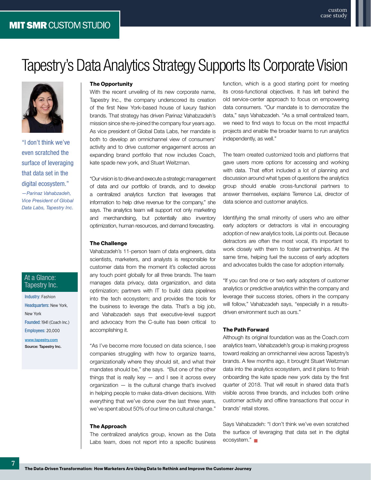### <span id="page-7-0"></span>Tapestry's Data Analytics Strategy Supports Its Corporate Vision



"I don't think we've even scratched the surface of leveraging that data set in the digital ecosystem." *—Parinaz Vahabzadeh, Vice President of Global Data Labs, Tapestry Inc.*

#### At a Glance: Tapestry Inc.

Headquarters: New York, New York Founded: 1941 (Coach Inc.) Employees: 20,00[0](https://www.bayer.us)

[www.tapestry.com](http://www.tapestry.com) Source: Tapestry Inc.

#### The Opportunity

With the recent unveiling of its new corporate name, Tapestry Inc., the company underscored its creation of the first New York-based house of luxury fashion brands. That strategy has driven Parinaz Vahabzadeh's mission since she re-joined the company four years ago. As vice president of Global Data Labs, her mandate is both to develop an omnichannel view of consumers' activity and to drive customer engagement across an expanding brand portfolio that now includes Coach, kate spade new york, and Stuart Weitzman.

"Our vision is to drive and execute a strategic management of data and our portfolio of brands, and to develop a centralized analytics function that leverages that information to help drive revenue for the company," she says. The analytics team will support not only marketing and merchandising, but potentially also inventory optimization, human resources, and demand forecasting.

#### The Challenge

Vahabzadeh's 11-person team of data engineers, data scientists, marketers, and analysts is responsible for customer data from the moment it's collected across any touch point globally for all three brands. The team manages data privacy, data organization, and data optimization; partners with IT to build data pipelines into the tech ecosystem; and provides the tools for the business to leverage the data. That's a big job, and Vahabzadeh says that executive-level support and advocacy from the C-suite has been critical to accomplishing it.

"As I've become more focused on data science, I see companies struggling with how to organize teams, organizationally where they should sit, and what their mandates should be," she says. "But one of the other things that is really key  $-$  and I see it across every organization — is the cultural change that's involved in helping people to make data-driven decisions. With everything that we've done over the last three years, we've spent about 50% of our time on cultural change." Industry: Fashion<br>
Industry: Fashion<br>
Industries: the tools<br>
the business to leverage the data. That's a big<br>
New York<br>
Founded: 1941 (Coach Inc.)<br>
and advocacy from the C-suite has been critical<br>
source: Tapestry Inc.<br>
<br>

#### The Approach

The centralized analytics group, known as the Data Labs team, does not report into a specific business function, which is a good starting point for meeting its cross-functional objectives. It has left behind the old service-center approach to focus on empowering data consumers. "Our mandate is to democratize the data," says Vahabzadeh. "As a small centralized team, we need to find ways to focus on the most impactful projects and enable the broader teams to run analytics independently, as well."

custom case study

The team created customized tools and platforms that gave users more options for accessing and working with data. That effort included a lot of planning and discussion around what types of questions the analytics group should enable cross-functional partners to answer themselves, explains Terrence Lai, director of data science and customer analytics.

Identifying the small minority of users who are either early adopters or detractors is vital in encouraging adoption of new analytics tools, Lai points out. Because detractors are often the most vocal, it's important to work closely with them to foster partnerships. At the same time, helping fuel the success of early adopters and advocates builds the case for adoption internally.

"If you can find one or two early adopters of customer analytics or predictive analytics within the company and leverage their success stories, others in the company will follow," Vahabzadeh says, "especially in a resultsdriven environment such as ours."

#### The Path Forward

Although its original foundation was as the Coach.com analytics team, Vahabzadeh's group is making progress toward realizing an omnichannel view across Tapestry's brands. A few months ago, it brought Stuart Weitzman data into the analytics ecosystem, and it plans to finish onboarding the kate spade new york data by the first quarter of 2018. That will result in shared data that's visible across three brands, and includes both online customer activity and offline transactions that occur in brands' retail stores.

Says Vahabzadeh: "I don't think we've even scratched the surface of leveraging that data set in the digital ecosystem." **□**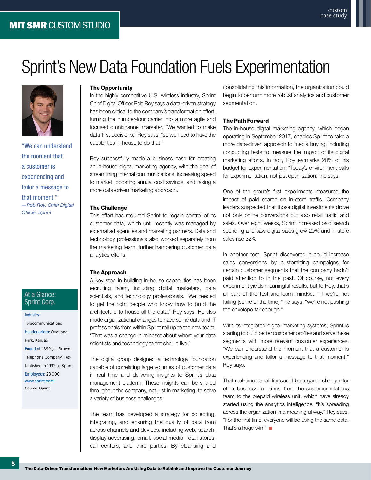

"We can understand the moment that a customer is experiencing and tailor a message to that moment." *—Rob Roy, Chief Digital Officer, Sprint*

#### At a Glance: Sprint Corp.

Industry: Telecommunications Headquarters: Overland Park, Kansas Founded: 1899 (as Brown Telephone Company); established in 1992 as Sprint Employees: 28,000 [www.sprint.com](http://www.sprint.com) Source: Sprint

#### The Opportunity

In the highly competitive U.S. wireless industry, Sprint Chief Digital Officer Rob Roy says a data-driven strategy has been critical to the company's transformation effort, turning the number-four carrier into a more agile and focused omnichannel marketer. "We wanted to make data-first decisions," Roy says, "so we need to have the capabilities in-house to do that."

<span id="page-8-0"></span>Sprint's New Data Foundation Fuels Experimentation

Roy successfully made a business case for creating an in-house digital marketing agency, with the goal of streamlining internal communications, increasing speed to market, boosting annual cost savings, and taking a more data-driven marketing approach.

#### The Challenge

This effort has required Sprint to regain control of its customer data, which until recently was managed by external ad agencies and marketing partners. Data and technology professionals also worked separately from the marketing team, further hampering customer data analytics efforts.

#### The Approach

A key step in building in-house capabilities has been recruiting talent, including digital marketers, data scientists, and technology professionals. "We needed to get the right people who know how to build the architecture to house all the data," Roy says. He also made organizational changes to have some data and IT professionals from within Sprint roll up to the new team. "That was a change in mindset about where your data scientists and technology talent should live."

The digital group designed a technology foundation capable of correlating large volumes of customer data in real time and delivering insights to Sprint's data management platform. These insights can be shared throughout the company, not just in marketing, to solve a variety of business challenges.

across channels and devices, including web, search, That's a huge win."<br>
display advertising, email, social media, retail stores,<br>
call centers, and third parties. By cleansing and<br>
The Data-Driven Transformation: How Mark The team has developed a strategy for collecting, integrating, and ensuring the quality of data from across channels and devices, including web, search, display advertising, email, social media, retail stores, call centers, and third parties. By cleansing and

consolidating this information, the organization could begin to perform more robust analytics and customer segmentation.

custom case study

#### The Path Forward

The in-house digital marketing agency, which began operating in September 2017, enables Sprint to take a more data-driven approach to media buying, including conducting tests to measure the impact of its digital marketing efforts. In fact, Roy earmarks 20% of his budget for experimentation. "Today's environment calls for experimentation, not just optimization," he says.

One of the group's first experiments measured the impact of paid search on in-store traffic. Company leaders suspected that those digital investments drove not only online conversions but also retail traffic and sales. Over eight weeks, Sprint increased paid search spending and saw digital sales grow 20% and in-store sales rise 32%.

In another test, Sprint discovered it could increase sales conversions by customizing campaigns for certain customer segments that the company hadn't paid attention to in the past. Of course, not every experiment yields meaningful results, but to Roy, that's all part of the test-and-learn mindset. "If we're not failing [some of the time]," he says, "we're not pushing the envelope far enough."

With its integrated digital marketing systems, Sprint is starting to build better customer profiles and serve these segments with more relevant customer experiences. "We can understand the moment that a customer is experiencing and tailor a message to that moment," Roy says.

That real-time capability could be a game changer for other business functions, from the customer relations team to the prepaid wireless unit, which have already started using the analytics intelligence. "It's spreading across the organization in a meaningful way," Roy says. "For the first time, everyone will be using the same data. That's a huge win." ■